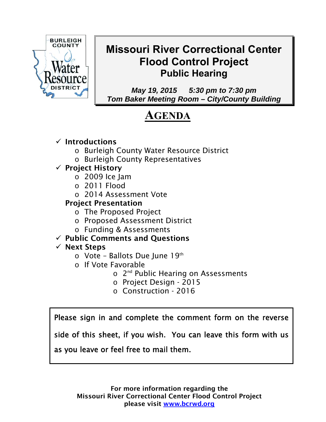

# **Missouri River Correctional Center Flood Control Project Public Hearing**

*May 19, 2015 5:30 pm to 7:30 pm Tom Baker Meeting Room – City/County Building*

# **AGENDA**

### $\checkmark$  Introductions

- o Burleigh County Water Resource District
- o Burleigh County Representatives

## $\checkmark$  Project History

- $\circ$  2009 Ice Jam
- $\circ$  2011 Flood
- o 2014 Assessment Vote

#### Project Presentation

- o The Proposed Project
- o Proposed Assessment District
- o Funding & Assessments

#### $\checkmark$  Public Comments and Ouestions

#### $\checkmark$  Next Steps

- $\circ$  Vote Ballots Due June 19<sup>th</sup>
- o If Vote Favorable
	- o 2nd Public Hearing on Assessments
	- o Project Design 2015
	- o Construction 2016

Please sign in and complete the comment form on the reverse side of this sheet, if you wish. You can leave this form with us as you leave or feel free to mail them.